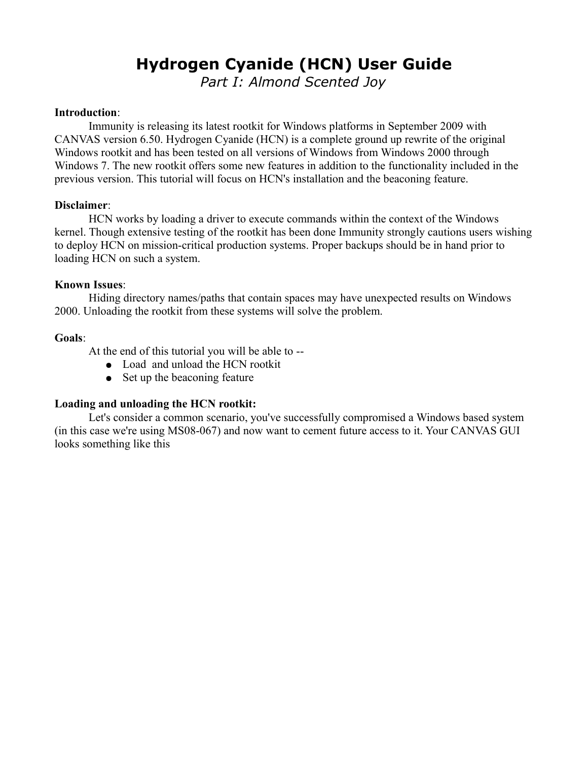# **Hydrogen Cyanide (HCN) User Guide**

*Part I: Almond Scented Joy*

#### **Introduction**:

Immunity is releasing its latest rootkit for Windows platforms in September 2009 with CANVAS version 6.50. Hydrogen Cyanide (HCN) is a complete ground up rewrite of the original Windows rootkit and has been tested on all versions of Windows from Windows 2000 through Windows 7. The new rootkit offers some new features in addition to the functionality included in the previous version. This tutorial will focus on HCN's installation and the beaconing feature.

### **Disclaimer**:

HCN works by loading a driver to execute commands within the context of the Windows kernel. Though extensive testing of the rootkit has been done Immunity strongly cautions users wishing to deploy HCN on mission-critical production systems. Proper backups should be in hand prior to loading HCN on such a system.

### **Known Issues**:

Hiding directory names/paths that contain spaces may have unexpected results on Windows 2000. Unloading the rootkit from these systems will solve the problem.

### **Goals**:

At the end of this tutorial you will be able to --

- Load and unload the HCN rootkit
- Set up the beaconing feature

## **Loading and unloading the HCN rootkit:**

Let's consider a common scenario, you've successfully compromised a Windows based system (in this case we're using MS08-067) and now want to cement future access to it. Your CANVAS GUI looks something like this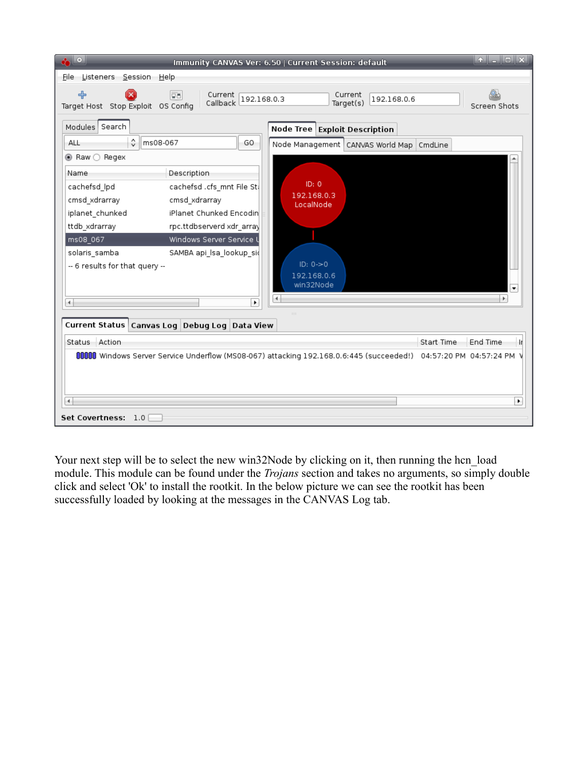| $\cdot$ $\circ$                                                                |                                                                                                    | Immunity CANVAS Ver: 6.50   Current Session: default                                                            |            | $\bullet$ $\bullet$ $\bullet$ $\bullet$ $\bullet$ $\bullet$ $\bullet$ |
|--------------------------------------------------------------------------------|----------------------------------------------------------------------------------------------------|-----------------------------------------------------------------------------------------------------------------|------------|-----------------------------------------------------------------------|
| File Listeners Session Help                                                    |                                                                                                    |                                                                                                                 |            |                                                                       |
| ♣<br>Target Host Stop Exploit OS Config                                        | <b>Dal</b><br>Current<br>192.168.0.3<br>Callback                                                   | Current<br>192.168.0.6<br>Target(s)                                                                             |            | Screen Shots                                                          |
| Modules Search<br>≎<br>ms08-067<br>ALL<br>$\odot$ Raw $\bigcirc$ Regex<br>Name | GO<br>Description                                                                                  | Node Tree Exploit Description<br>Node Management   CANVAS World Map                                             | CmdLine    |                                                                       |
| cachefsd_lpd<br>cmsd_xdrarray<br>iplanet_chunked<br>ttdb_xdrarray              | cachefsd .cfs_mnt File St<br>cmsd_xdrarray<br>iPlanet Chunked Encodin<br>rpc.ttdbserverd xdr_array | ID: 0<br>192.168.0.3<br>LocalNode                                                                               |            |                                                                       |
| ms08_067<br>solaris samba<br>-- 6 results for that query --                    | Windows Server Service<br>SAMBA api_lsa_lookup_si(                                                 | $ID: 0->0$<br>192.168.0.6<br>win32Node                                                                          |            | $\bullet$                                                             |
| $\overline{\phantom{a}}$                                                       | ٠                                                                                                  |                                                                                                                 |            | Þ.                                                                    |
| Current Status Canvas Log Debug Log Data View                                  |                                                                                                    |                                                                                                                 |            |                                                                       |
| Status Action                                                                  |                                                                                                    |                                                                                                                 | Start Time | End Time<br>H.                                                        |
|                                                                                |                                                                                                    | 0000 Windows Server Service Underflow (MS08-067) attacking 192.168.0.6:445 (succeeded!) 04:57:20 PM 04:57:24 PM |            |                                                                       |
| $\blacktriangleleft$<br>Set Covertness: 1.0                                    |                                                                                                    |                                                                                                                 |            | ٠                                                                     |

Your next step will be to select the new win32Node by clicking on it, then running the hcn\_load module. This module can be found under the *Trojans* section and takes no arguments, so simply double click and select 'Ok' to install the rootkit. In the below picture we can see the rootkit has been successfully loaded by looking at the messages in the CANVAS Log tab.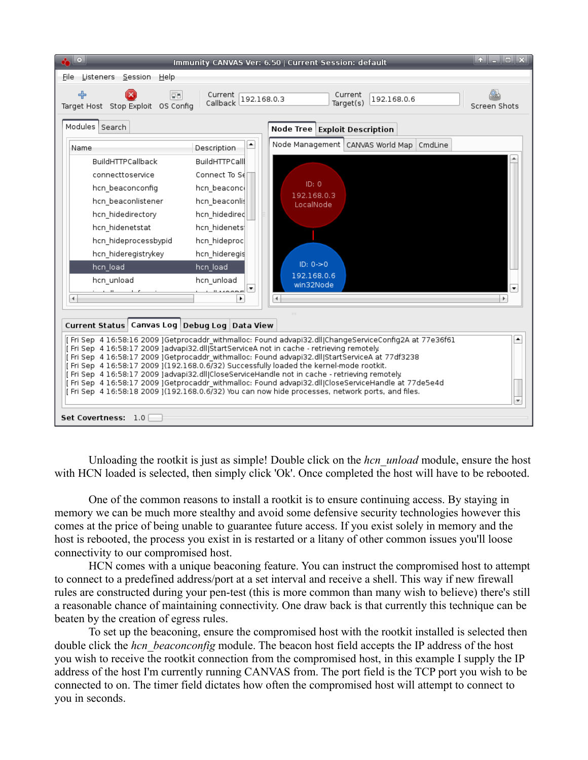| $\cdot$ $\circ$<br>Immunity CANVAS Ver: 6.50   Current Session: default                                                                                                                                                                                                                                                                                                                                                                                                                                                                                                                                                                                                                                              | $\bullet$ $\blacksquare$ $\blacksquare$ |  |  |  |
|----------------------------------------------------------------------------------------------------------------------------------------------------------------------------------------------------------------------------------------------------------------------------------------------------------------------------------------------------------------------------------------------------------------------------------------------------------------------------------------------------------------------------------------------------------------------------------------------------------------------------------------------------------------------------------------------------------------------|-----------------------------------------|--|--|--|
| File Listeners Session Help                                                                                                                                                                                                                                                                                                                                                                                                                                                                                                                                                                                                                                                                                          |                                         |  |  |  |
| ╬<br>Current<br>leal<br>Current<br>192.168.0.3<br>192.168.0.6<br>Callback<br>Target(s)<br>Target Host Stop Exploit OS Config                                                                                                                                                                                                                                                                                                                                                                                                                                                                                                                                                                                         | Screen Shots                            |  |  |  |
| Modules Search<br>Node Tree Exploit Description                                                                                                                                                                                                                                                                                                                                                                                                                                                                                                                                                                                                                                                                      |                                         |  |  |  |
| Node Management   CANVAS World Map   CmdLine<br>٠<br>Name<br>Description                                                                                                                                                                                                                                                                                                                                                                                                                                                                                                                                                                                                                                             |                                         |  |  |  |
| BuildHTTPCallback<br><b>BuildHTTPCall</b><br>connecttoservice<br>Connect To Sell<br>ID: 0<br>hcn beaconconfig<br>hcn beaconcl<br>192.168.0.3<br>hcn beaconlistener<br>hcn_beaconlis<br>LocalNode<br>hcn hidedirectory<br>hcn hidedired<br>hcn hidenetstat<br>hcn hidenets<br>hcn_hideprocessbypid<br>hcn_hideproc<br>hcn hideregistrykey<br>hcn hideregis<br>ID: 0 > 0<br>hcn_load<br>hcn_load<br>192.168.0.6<br>hcn unload<br>hcn unload<br>win32Node<br>$\mathbf{u}$ $\mathbf{u}$ $\mathbf{u}$<br>4<br>٠                                                                                                                                                                                                           | ۰<br>Þ.                                 |  |  |  |
|                                                                                                                                                                                                                                                                                                                                                                                                                                                                                                                                                                                                                                                                                                                      |                                         |  |  |  |
| Canvas Log Debug Log Data View<br><b>Current Status</b>                                                                                                                                                                                                                                                                                                                                                                                                                                                                                                                                                                                                                                                              |                                         |  |  |  |
| [Fri Sep 4 16:58:16 2009 ]Getprocaddr_withmalloc: Found advapi32.dll ChangeServiceConfig2A at 77e36f61<br>٠<br>[ Fri Sep 4 16:58:17 2009 ]advapi32.dll StartServiceA not in cache - retrieving remotely.<br>[ Fri Sep 4 16:58:17 2009 ]Getprocaddr_withmalloc: Found advapi32.dll StartServiceA at 77df3238<br>[Fri Sep 4 16:58:17 2009 ](192.168.0.6/32) Successfully loaded the kernel-mode rootkit.<br>[ Fri Sep 4 16:58:17 2009 ]advapi32.dll]CloseServiceHandle not in cache - retrieving remotely.<br>[ Fri Sep 4 16:58:17 2009 ]Getprocaddr withmalloc: Found advapi32.dll CloseServiceHandle at 77de5e4d<br>[Fri Sep 4 16:58:18 2009 ](192.168.0.6/32) You can now hide processes, network ports, and files. |                                         |  |  |  |
| Set Covertness: 1.0                                                                                                                                                                                                                                                                                                                                                                                                                                                                                                                                                                                                                                                                                                  |                                         |  |  |  |

Unloading the rootkit is just as simple! Double click on the *hcn\_unload* module, ensure the host with HCN loaded is selected, then simply click 'Ok'. Once completed the host will have to be rebooted.

One of the common reasons to install a rootkit is to ensure continuing access. By staying in memory we can be much more stealthy and avoid some defensive security technologies however this comes at the price of being unable to guarantee future access. If you exist solely in memory and the host is rebooted, the process you exist in is restarted or a litany of other common issues you'll loose connectivity to our compromised host.

HCN comes with a unique beaconing feature. You can instruct the compromised host to attempt to connect to a predefined address/port at a set interval and receive a shell. This way if new firewall rules are constructed during your pen-test (this is more common than many wish to believe) there's still a reasonable chance of maintaining connectivity. One draw back is that currently this technique can be beaten by the creation of egress rules.

To set up the beaconing, ensure the compromised host with the rootkit installed is selected then double click the *hcn* beaconconfig module. The beacon host field accepts the IP address of the host you wish to receive the rootkit connection from the compromised host, in this example I supply the IP address of the host I'm currently running CANVAS from. The port field is the TCP port you wish to be connected to on. The timer field dictates how often the compromised host will attempt to connect to you in seconds.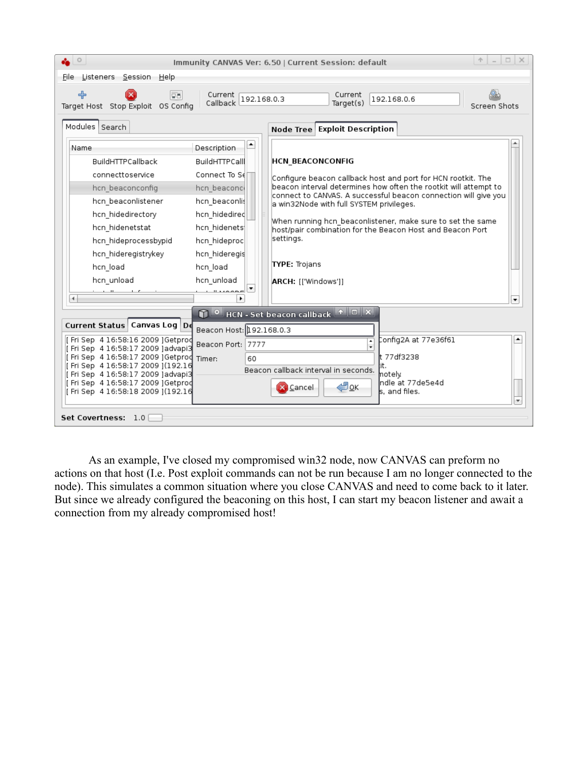| $\circ$                                                                 |                          |  | $\uparrow$ $\vert - \vert - \vert$ $\times$<br>Immunity CANVAS Ver: 6.50   Current Session: default                                 |
|-------------------------------------------------------------------------|--------------------------|--|-------------------------------------------------------------------------------------------------------------------------------------|
| File Listeners Session Help                                             |                          |  |                                                                                                                                     |
| ╬<br>lgal<br>Target Host Stop Exploit OS Config<br>Modules Search       | Callback 192.168.0.3     |  | Current<br>192.168.0.6<br>Target(s)<br>Screen Shots<br>Node Tree Exploit Description                                                |
|                                                                         | ÷.                       |  |                                                                                                                                     |
| Name                                                                    | Description              |  |                                                                                                                                     |
| BuildHTTPCallback                                                       | BuildHTTPCall            |  | <b>HCN BEACONCONFIG</b>                                                                                                             |
| connecttoservice                                                        | Connect To S∈ □          |  | Configure beacon callback host and port for HCN rootkit. The                                                                        |
| hcn beaconconfig                                                        | hcn beaconci             |  | beacon interval determines how often the rootkit will attempt to<br>connect to CANVAS. A successful beacon connection will give you |
| hcn_beaconlistener                                                      | hcn_beaconlis            |  | a win32Node with full SYSTEM privileges.                                                                                            |
| hcn hidedirectory                                                       | hcn hidedired            |  |                                                                                                                                     |
| hcn_hidenetstat                                                         | hcn_hidenets             |  | When running hcn beaconlistener, make sure to set the same<br>host/pair combination for the Beacon Host and Beacon Port             |
| hcn_hideprocessbypid                                                    | hcn_hideproc             |  | settings.                                                                                                                           |
| hcn hideregistrykey                                                     | hcn hideregis            |  |                                                                                                                                     |
| hcn_load                                                                | hcn_load                 |  | <b>TYPE: Trojans</b>                                                                                                                |
| hcn_unload                                                              | hcn_unload               |  | ARCH: [['Windows']]                                                                                                                 |
| 4                                                                       |                          |  |                                                                                                                                     |
|                                                                         |                          |  | ٠                                                                                                                                   |
|                                                                         |                          |  | $\bigcap$ O HCN - Set beacon callback $\big \cdot\big $ O $\big $ X                                                                 |
| Current Status Canvas Log De                                            | Beacon Host: 192.168.0.3 |  |                                                                                                                                     |
| [ Fri Sep 4 16:58:16 2009 ]Getprod<br>[Fri Sep 4 16:58:17 2009 ]advapi3 | Beacon Port: 7777        |  | Config2A at 77e36f61<br>٠                                                                                                           |
| [ Fri Sep 4 16:58:17 2009 ]Getprod Timer:                               | 60                       |  | lt 77df3238                                                                                                                         |
| [Fri Sep 4 16:58:17 2009 ](192.16<br>[Fri Sep 4 16:58:17 2009 ]advapi3  |                          |  | it.<br>Beacon callback interval in seconds.<br>motelv                                                                               |
| [Fri Sep 4 16:58:17 2009 ]Getprod                                       |                          |  | Indle at 77de5e4d<br>∉®ok<br>X Cancel                                                                                               |
| [Fri Sep 4 16:58:18 2009 ] (192.16                                      |                          |  | s, and files.                                                                                                                       |
| Set Covertness: 1.0                                                     |                          |  |                                                                                                                                     |

As an example, I've closed my compromised win32 node, now CANVAS can preform no actions on that host (I.e. Post exploit commands can not be run because I am no longer connected to the node). This simulates a common situation where you close CANVAS and need to come back to it later. But since we already configured the beaconing on this host, I can start my beacon listener and await a connection from my already compromised host!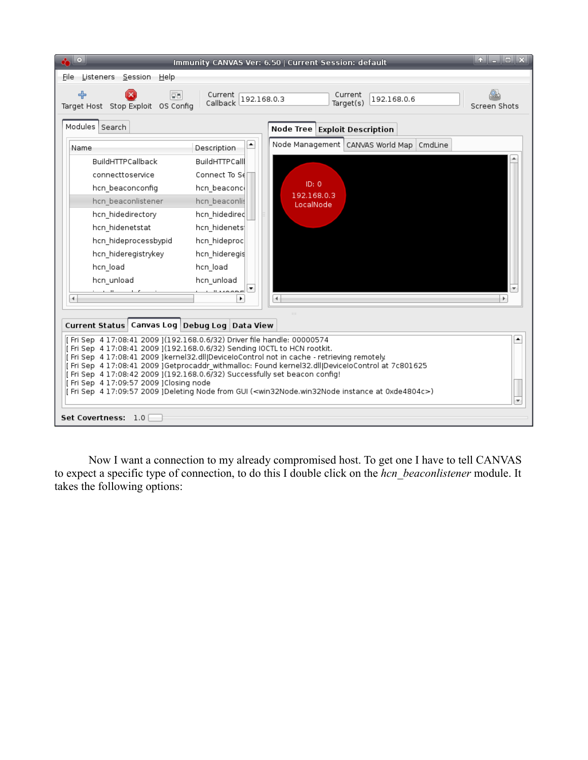| $\cdot$ $\circ$                                                                                                                                                                                                                                                                                                                                                                                                                                                                                                                                                                                                          |                      | Immunity CANVAS Ver: 6.50   Current Session: default | $\bullet$ $\blacksquare$ $\blacksquare$ |  |  |
|--------------------------------------------------------------------------------------------------------------------------------------------------------------------------------------------------------------------------------------------------------------------------------------------------------------------------------------------------------------------------------------------------------------------------------------------------------------------------------------------------------------------------------------------------------------------------------------------------------------------------|----------------------|------------------------------------------------------|-----------------------------------------|--|--|
| File Listeners Session Help                                                                                                                                                                                                                                                                                                                                                                                                                                                                                                                                                                                              |                      |                                                      |                                         |  |  |
| ╬<br>leal<br>Target Host Stop Exploit OS Config                                                                                                                                                                                                                                                                                                                                                                                                                                                                                                                                                                          | Callback 192.168.0.3 | Current<br>192.168.0.6<br>Target(s)                  | Screen Shots                            |  |  |
| Modules Search                                                                                                                                                                                                                                                                                                                                                                                                                                                                                                                                                                                                           |                      | Node Tree Exploit Description                        |                                         |  |  |
| Name                                                                                                                                                                                                                                                                                                                                                                                                                                                                                                                                                                                                                     | ٠<br>Description     | Node Management   CANVAS World Map   CmdLine         |                                         |  |  |
| BuildHTTPCallback                                                                                                                                                                                                                                                                                                                                                                                                                                                                                                                                                                                                        | <b>BuildHTTPCall</b> |                                                      |                                         |  |  |
| connecttoservice                                                                                                                                                                                                                                                                                                                                                                                                                                                                                                                                                                                                         | Connect To Sell      |                                                      |                                         |  |  |
| hcn beaconconfig                                                                                                                                                                                                                                                                                                                                                                                                                                                                                                                                                                                                         | hcn beaconce         | ID: 0                                                |                                         |  |  |
| hcn beaconlistener                                                                                                                                                                                                                                                                                                                                                                                                                                                                                                                                                                                                       | hcn beaconlis        | 192.168.0.3<br>LocalNode                             |                                         |  |  |
| hcn hidedirectory                                                                                                                                                                                                                                                                                                                                                                                                                                                                                                                                                                                                        | hcn hidedired        |                                                      |                                         |  |  |
| hcn hidenetstat                                                                                                                                                                                                                                                                                                                                                                                                                                                                                                                                                                                                          | hcn_hidenets         |                                                      |                                         |  |  |
| hcn hideprocessbypid                                                                                                                                                                                                                                                                                                                                                                                                                                                                                                                                                                                                     | hcn_hideproc         |                                                      |                                         |  |  |
| hcn hideregistrykey                                                                                                                                                                                                                                                                                                                                                                                                                                                                                                                                                                                                      | hcn hideregis        |                                                      |                                         |  |  |
| hcn load                                                                                                                                                                                                                                                                                                                                                                                                                                                                                                                                                                                                                 | hcn load             |                                                      |                                         |  |  |
| hcn_unload                                                                                                                                                                                                                                                                                                                                                                                                                                                                                                                                                                                                               | hcn_unload           |                                                      |                                         |  |  |
| 4                                                                                                                                                                                                                                                                                                                                                                                                                                                                                                                                                                                                                        | ٠                    |                                                      |                                         |  |  |
|                                                                                                                                                                                                                                                                                                                                                                                                                                                                                                                                                                                                                          |                      |                                                      |                                         |  |  |
| Current Status   Canvas Log   Debug Log   Data View                                                                                                                                                                                                                                                                                                                                                                                                                                                                                                                                                                      |                      |                                                      |                                         |  |  |
| [Fri Sep 4 17:08:41 2009 ](192.168.0.6/32) Driver file handle: 00000574<br>٠<br>[ Fri Sep 4 17:08:41 2009 ](192.168.0.6/32) Sending IOCTL to HCN rootkit.<br>[Fri Sep 4 17:08:41 2009 ]kernel32.dll DeviceloControl not in cache - retrieving remotely.<br>[ Fri Sep 4 17:08:41 2009 ]Getprocaddr_withmalloc: Found kernel32.dll DeviceloControl at 7c801625<br>[Fri Sep 4 17:08:42 2009 ] (192.168.0.6/32) Successfully set beacon config!<br>[Fri Sep 4 17:09:57 2009 ]Closing node<br>[ Fri Sep 4 17:09:57 2009 ]Deleting Node from GUI ( <win32node.win32node 0xde4804c="" at="" instance="">)</win32node.win32node> |                      |                                                      |                                         |  |  |
| Set Covertness: 1.0                                                                                                                                                                                                                                                                                                                                                                                                                                                                                                                                                                                                      |                      |                                                      |                                         |  |  |

Now I want a connection to my already compromised host. To get one I have to tell CANVAS to expect a specific type of connection, to do this I double click on the *hcn\_beaconlistener* module. It takes the following options: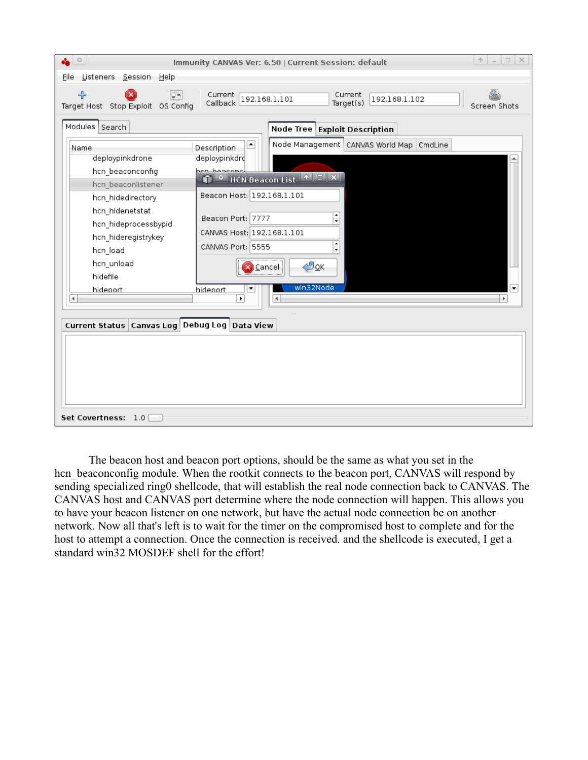| $\circ$                                                                                                                                                                                                                                                                 | Immunity CANVAS Ver: 6.50   Current Session: default                                                                                                                                                                                                                                            | $A = \Box X$                   |
|-------------------------------------------------------------------------------------------------------------------------------------------------------------------------------------------------------------------------------------------------------------------------|-------------------------------------------------------------------------------------------------------------------------------------------------------------------------------------------------------------------------------------------------------------------------------------------------|--------------------------------|
| Listeners <u>S</u> ession Help<br>Eile                                                                                                                                                                                                                                  |                                                                                                                                                                                                                                                                                                 |                                |
| ╬<br><b>Dal</b><br>Target Host Stop Exploit OS Config                                                                                                                                                                                                                   | Current<br>Current<br>192.168.1.101<br>192.168.1.102<br>Callback<br>Target(s)                                                                                                                                                                                                                   | Screen Shots                   |
| Modules Search                                                                                                                                                                                                                                                          | Node Tree Exploit Description                                                                                                                                                                                                                                                                   |                                |
| Name<br>deploypinkdrone<br>hcn_beaconconfig<br>hcn_beaconlistener<br>hcn_hidedirectory<br>hcn_hidenetstat<br>hcn_hideprocessbypid<br>hcn_hideregistrykey<br>hcn_load<br>hcn_unload<br>hidefile<br>hidenort<br>41<br>Current Status   Canvas Log   Debug Log   Data View | Node Management   CANVAS World Map<br>◚<br>CmdLine<br>Description<br>deploypinkdro<br>ach beaconc<br>Beacon Host: 192.168.1.101<br>٠<br>Beacon Port: 7777<br>٠<br>CANVAS Host: 192.168.1.101<br>$\frac{1}{\tau}$<br>CANVAS Port: 5555<br>∉®ok<br>Cancel<br>win32Node<br>hidenort<br>▼<br>٠<br>4 | $\overline{\phantom{0}}$<br>÷. |
| <b>Set Covertness:</b><br>1.0                                                                                                                                                                                                                                           |                                                                                                                                                                                                                                                                                                 |                                |

The beacon host and beacon port options, should be the same as what you set in the hcn beaconconfig module. When the rootkit connects to the beacon port, CANVAS will respond by sending specialized ring0 shellcode, that will establish the real node connection back to CANVAS. The CANVAS host and CANVAS port determine where the node connection will happen. This allows you to have your beacon listener on one network, but have the actual node connection be on another network. Now all that's left is to wait for the timer on the compromised host to complete and for the host to attempt a connection. Once the connection is received. and the shellcode is executed, I get a standard win32 MOSDEF shell for the effort!